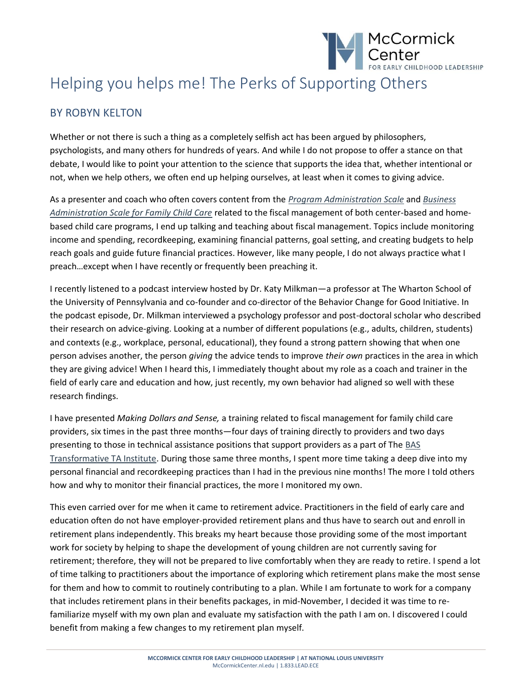

## Helping you helps me! The Perks of Supporting Others

## BY ROBYN KELTON

Whether or not there is such a thing as a completely selfish act has been argued by philosophers, psychologists, and many others for hundreds of years. And while I do not propose to offer a stance on that debate, I would like to point your attention to the science that supports the idea that, whether intentional or not, when we help others, we often end up helping ourselves, at least when it comes to giving advice.

As a presenter and coach who often covers content from the *[Program Administration Scale](https://mccormickcenter.nl.edu/library/program-administration-scale-pas-2nd-ed/)* and *[Business](https://mccormickcenter.nl.edu/library/business-administration-scale-for-family-child-care-bas/)  [Administration Scale for Family Child Care](https://mccormickcenter.nl.edu/library/business-administration-scale-for-family-child-care-bas/)* related to the fiscal management of both center-based and homebased child care programs, I end up talking and teaching about fiscal management. Topics include monitoring income and spending, recordkeeping, examining financial patterns, goal setting, and creating budgets to help reach goals and guide future financial practices. However, like many people, I do not always practice what I preach…except when I have recently or frequently been preaching it.

I recently listened to a podcast interview hosted by Dr. Katy Milkman—a professor at The Wharton School of the University of Pennsylvania and co-founder and co-director of the Behavior Change for Good Initiative. In the podcast episode, Dr. Milkman interviewed a psychology professor and post-doctoral scholar who described their research on advice-giving. Looking at a number of different populations (e.g., adults, children, students) and contexts (e.g., workplace, personal, educational), they found a strong pattern showing that when one person advises another, the person *giving* the advice tends to improve *their own* practices in the area in which they are giving advice! When I heard this, I immediately thought about my role as a coach and trainer in the field of early care and education and how, just recently, my own behavior had aligned so well with these research findings.

I have presented *Making Dollars and Sense,* a training related to fiscal management for family child care providers, six times in the past three months—four days of training directly to providers and two days presenting to those in technical assistance positions that support providers as a part of The [BAS](https://mccormickcenter.nl.edu/services/technical-assistance/)  [Transformative TA Institute.](https://mccormickcenter.nl.edu/services/technical-assistance/) During those same three months, I spent more time taking a deep dive into my personal financial and recordkeeping practices than I had in the previous nine months! The more I told others how and why to monitor their financial practices, the more I monitored my own.

This even carried over for me when it came to retirement advice. Practitioners in the field of early care and education often do not have employer-provided retirement plans and thus have to search out and enroll in retirement plans independently. This breaks my heart because those providing some of the most important work for society by helping to shape the development of young children are not currently saving for retirement; therefore, they will not be prepared to live comfortably when they are ready to retire. I spend a lot of time talking to practitioners about the importance of exploring which retirement plans make the most sense for them and how to commit to routinely contributing to a plan. While I am fortunate to work for a company that includes retirement plans in their benefits packages, in mid-November, I decided it was time to refamiliarize myself with my own plan and evaluate my satisfaction with the path I am on. I discovered I could benefit from making a few changes to my retirement plan myself.